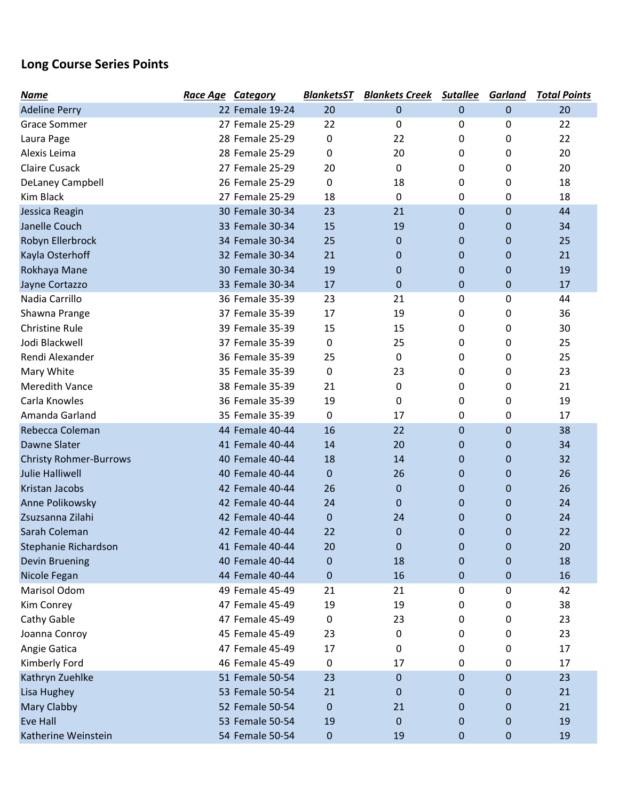## Long Course Series Points

| Name                          | Race Age Category |                 | <b>BlanketsST</b> | <b>Blankets Creek Sutallee</b> |   | <b>Garland</b> | <b>Total Points</b> |
|-------------------------------|-------------------|-----------------|-------------------|--------------------------------|---|----------------|---------------------|
| <b>Adeline Perry</b>          |                   | 22 Female 19-24 | 20                | $\mathbf 0$                    | 0 | $\mathbf 0$    | 20                  |
| <b>Grace Sommer</b>           |                   | 27 Female 25-29 | 22                | 0                              | 0 | 0              | 22                  |
| Laura Page                    |                   | 28 Female 25-29 | 0                 | 22                             | 0 | 0              | 22                  |
| Alexis Leima                  |                   | 28 Female 25-29 | 0                 | 20                             | 0 | 0              | 20                  |
| <b>Claire Cusack</b>          |                   | 27 Female 25-29 | 20                | $\mathbf 0$                    | 0 | 0              | 20                  |
| DeLaney Campbell              |                   | 26 Female 25-29 | 0                 | 18                             | 0 | 0              | 18                  |
| Kim Black                     |                   | 27 Female 25-29 | 18                | $\mathbf 0$                    | 0 | 0              | 18                  |
| Jessica Reagin                |                   | 30 Female 30-34 | 23                | 21                             | 0 | $\mathbf 0$    | 44                  |
| Janelle Couch                 |                   | 33 Female 30-34 | 15                | 19                             | 0 | $\mathbf 0$    | 34                  |
| Robyn Ellerbrock              |                   | 34 Female 30-34 | 25                | $\mathbf{0}$                   | 0 | $\mathbf 0$    | 25                  |
| Kayla Osterhoff               |                   | 32 Female 30-34 | 21                | $\mathbf{0}$                   | 0 | $\mathbf 0$    | 21                  |
| Rokhaya Mane                  |                   | 30 Female 30-34 | 19                | $\mathbf{0}$                   | 0 | $\mathbf 0$    | 19                  |
| Jayne Cortazzo                |                   | 33 Female 30-34 | 17                | $\mathbf 0$                    | 0 | $\bf 0$        | 17                  |
| Nadia Carrillo                |                   | 36 Female 35-39 | 23                | 21                             | 0 | 0              | 44                  |
| Shawna Prange                 |                   | 37 Female 35-39 | 17                | 19                             | 0 | 0              | 36                  |
| <b>Christine Rule</b>         |                   | 39 Female 35-39 | 15                | 15                             | 0 | 0              | 30                  |
| Jodi Blackwell                |                   | 37 Female 35-39 | 0                 | 25                             | 0 | 0              | 25                  |
| Rendi Alexander               |                   | 36 Female 35-39 | 25                | 0                              | 0 | 0              | 25                  |
| Mary White                    |                   | 35 Female 35-39 | 0                 | 23                             | 0 | 0              | 23                  |
| <b>Meredith Vance</b>         |                   | 38 Female 35-39 | 21                | 0                              | 0 | 0              | 21                  |
| Carla Knowles                 |                   | 36 Female 35-39 | 19                | 0                              | 0 | 0              | 19                  |
| Amanda Garland                |                   | 35 Female 35-39 | 0                 | 17                             | 0 | 0              | 17                  |
| Rebecca Coleman               |                   | 44 Female 40-44 | 16                | 22                             | 0 | $\mathbf 0$    | 38                  |
| <b>Dawne Slater</b>           |                   | 41 Female 40-44 | 14                | 20                             | 0 | $\mathbf 0$    | 34                  |
| <b>Christy Rohmer-Burrows</b> |                   | 40 Female 40-44 | 18                | 14                             | 0 | $\mathbf 0$    | 32                  |
| <b>Julie Halliwell</b>        |                   | 40 Female 40-44 | $\pmb{0}$         | 26                             | 0 | $\mathbf 0$    | 26                  |
| Kristan Jacobs                |                   | 42 Female 40-44 | 26                | $\mathbf 0$                    | 0 | 0              | 26                  |
| Anne Polikowsky               |                   | 42 Female 40-44 | 24                | $\mathbf 0$                    | 0 | $\mathbf 0$    | 24                  |
| Zsuzsanna Zilahi              |                   | 42 Female 40-44 | $\pmb{0}$         | 24                             | 0 | $\mathbf 0$    | 24                  |
| Sarah Coleman                 |                   | 42 Female 40-44 | 22                | $\mathbf 0$                    | 0 | $\overline{0}$ | 22                  |
| Stephanie Richardson          |                   | 41 Female 40-44 | 20                | $\mathbf 0$                    | 0 | 0              | 20                  |
| Devin Bruening                |                   | 40 Female 40-44 | $\pmb{0}$         | 18                             | 0 | 0              | 18                  |
| Nicole Fegan                  |                   | 44 Female 40-44 | $\pmb{0}$         | 16                             | 0 | 0              | 16                  |
| Marisol Odom                  |                   | 49 Female 45-49 | 21                | 21                             | 0 | 0              | 42                  |
| Kim Conrey                    |                   | 47 Female 45-49 | 19                | 19                             | 0 | 0              | 38                  |
| Cathy Gable                   |                   | 47 Female 45-49 | 0                 | 23                             | 0 | 0              | 23                  |
| Joanna Conroy                 |                   | 45 Female 45-49 | 23                | 0                              | 0 | 0              | 23                  |
| Angie Gatica                  |                   | 47 Female 45-49 | 17                | 0                              | 0 | 0              | 17                  |
| Kimberly Ford                 |                   | 46 Female 45-49 | $\pmb{0}$         | 17                             | 0 | 0              | 17                  |
| Kathryn Zuehlke               |                   | 51 Female 50-54 | 23                | $\mathbf 0$                    | 0 | 0              | 23                  |
| Lisa Hughey                   |                   | 53 Female 50-54 | 21                | $\mathbf 0$                    | 0 | 0              | 21                  |
| Mary Clabby                   |                   | 52 Female 50-54 | $\pmb{0}$         | 21                             | 0 | 0              | 21                  |
| <b>Eve Hall</b>               |                   | 53 Female 50-54 | 19                | $\mathbf 0$                    | 0 | 0              | 19                  |
| Katherine Weinstein           |                   | 54 Female 50-54 | $\pmb{0}$         | 19                             | 0 | $\pmb{0}$      | 19                  |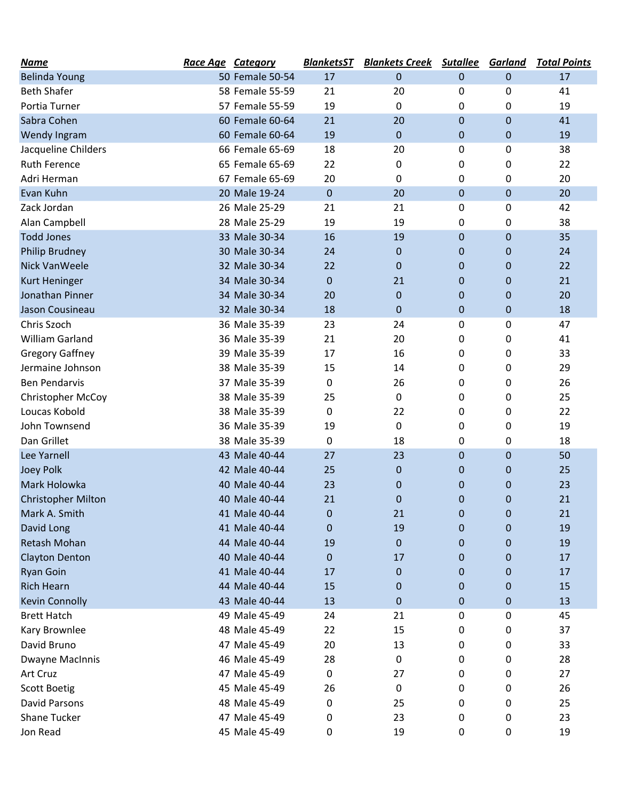| <b>Name</b>               | Race Age Category |                 | <b>BlanketsST</b> | <b>Blankets Creek</b> | <b>Sutallee</b> | <b>Garland</b> | <b>Total Points</b> |
|---------------------------|-------------------|-----------------|-------------------|-----------------------|-----------------|----------------|---------------------|
| <b>Belinda Young</b>      |                   | 50 Female 50-54 | 17                | 0                     | $\mathbf 0$     | $\mathbf 0$    | 17                  |
| <b>Beth Shafer</b>        |                   | 58 Female 55-59 | 21                | 20                    | 0               | 0              | 41                  |
| Portia Turner             |                   | 57 Female 55-59 | 19                | 0                     | 0               | 0              | 19                  |
| Sabra Cohen               |                   | 60 Female 60-64 | 21                | 20                    | $\mathbf 0$     | $\mathbf 0$    | 41                  |
| Wendy Ingram              |                   | 60 Female 60-64 | 19                | $\mathbf{0}$          | $\mathbf 0$     | 0              | 19                  |
| Jacqueline Childers       |                   | 66 Female 65-69 | 18                | 20                    | 0               | 0              | 38                  |
| Ruth Ference              |                   | 65 Female 65-69 | 22                | 0                     | 0               | 0              | 22                  |
| Adri Herman               |                   | 67 Female 65-69 | 20                | 0                     | 0               | 0              | 20                  |
| Evan Kuhn                 |                   | 20 Male 19-24   | $\pmb{0}$         | 20                    | $\pmb{0}$       | $\pmb{0}$      | 20                  |
| Zack Jordan               |                   | 26 Male 25-29   | 21                | 21                    | 0               | 0              | 42                  |
| Alan Campbell             |                   | 28 Male 25-29   | 19                | 19                    | 0               | 0              | 38                  |
| <b>Todd Jones</b>         |                   | 33 Male 30-34   | 16                | 19                    | $\mathbf 0$     | $\mathbf 0$    | 35                  |
| Philip Brudney            |                   | 30 Male 30-34   | 24                | $\mathbf 0$           | $\mathbf 0$     | 0              | 24                  |
| <b>Nick VanWeele</b>      |                   | 32 Male 30-34   | 22                | 0                     | $\mathbf 0$     | 0              | 22                  |
| Kurt Heninger             |                   | 34 Male 30-34   | 0                 | 21                    | $\mathbf 0$     | $\mathbf 0$    | 21                  |
| Jonathan Pinner           |                   | 34 Male 30-34   | 20                | 0                     | $\mathbf 0$     | 0              | 20                  |
| Jason Cousineau           |                   | 32 Male 30-34   | 18                | $\mathbf 0$           | $\pmb{0}$       | $\pmb{0}$      | 18                  |
| Chris Szoch               |                   | 36 Male 35-39   | 23                | 24                    | 0               | 0              | 47                  |
| William Garland           |                   | 36 Male 35-39   | 21                | 20                    | 0               | 0              | 41                  |
| <b>Gregory Gaffney</b>    |                   | 39 Male 35-39   | 17                | 16                    | 0               | 0              | 33                  |
| Jermaine Johnson          |                   | 38 Male 35-39   | 15                | 14                    | 0               | 0              | 29                  |
| <b>Ben Pendarvis</b>      |                   | 37 Male 35-39   | 0                 | 26                    | 0               | 0              | 26                  |
| <b>Christopher McCoy</b>  |                   | 38 Male 35-39   | 25                | 0                     | 0               | 0              | 25                  |
| Loucas Kobold             |                   | 38 Male 35-39   | 0                 | 22                    | 0               | 0              | 22                  |
| John Townsend             |                   | 36 Male 35-39   | 19                | 0                     | 0               | 0              | 19                  |
| Dan Grillet               |                   | 38 Male 35-39   | $\pmb{0}$         | 18                    | 0               | 0              | 18                  |
| Lee Yarnell               |                   | 43 Male 40-44   | 27                | 23                    | $\mathbf 0$     | 0              | 50                  |
| <b>Joey Polk</b>          |                   | 42 Male 40-44   | 25                | $\mathbf 0$           | $\mathbf 0$     | 0              | 25                  |
| Mark Holowka              |                   | 40 Male 40-44   | 23                | 0                     | $\mathbf 0$     | 0              | 23                  |
| <b>Christopher Milton</b> |                   | 40 Male 40-44   | 21                | 0                     | $\mathbf 0$     | 0              | 21                  |
| Mark A. Smith             |                   | 41 Male 40-44   | 0                 | 21                    | 0               | 0              | 21                  |
| David Long                |                   | 41 Male 40-44   | 0                 | 19                    | 0               | 0              | 19                  |
| Retash Mohan              |                   | 44 Male 40-44   | 19                | 0                     | 0               | 0              | 19                  |
| <b>Clayton Denton</b>     |                   | 40 Male 40-44   | 0                 | 17                    | 0               | 0              | 17                  |
| <b>Ryan Goin</b>          |                   | 41 Male 40-44   | 17                | 0                     | 0               | 0              | 17                  |
| <b>Rich Hearn</b>         |                   | 44 Male 40-44   | 15                | 0                     | $\mathbf{0}$    | 0              | 15                  |
| <b>Kevin Connolly</b>     |                   | 43 Male 40-44   | 13                | 0                     | $\mathbf 0$     | $\pmb{0}$      | 13                  |
| <b>Brett Hatch</b>        |                   | 49 Male 45-49   | 24                | 21                    | 0               | 0              | 45                  |
| Kary Brownlee             |                   | 48 Male 45-49   | 22                | 15                    | 0               | 0              | 37                  |
| David Bruno               |                   | 47 Male 45-49   | 20                | 13                    | 0               | 0              | 33                  |
| Dwayne MacInnis           |                   | 46 Male 45-49   | 28                | 0                     | 0               | 0              | 28                  |
| Art Cruz                  |                   | 47 Male 45-49   | 0                 | 27                    | 0               | 0              | 27                  |
| <b>Scott Boetig</b>       |                   | 45 Male 45-49   | 26                | 0                     | 0               | 0              | 26                  |
| David Parsons             |                   | 48 Male 45-49   | 0                 | 25                    | 0               | 0              | 25                  |
| <b>Shane Tucker</b>       |                   | 47 Male 45-49   | 0                 | 23                    | 0               | 0              | 23                  |
| Jon Read                  |                   | 45 Male 45-49   | 0                 | 19                    | $\mathbf 0$     | 0              | 19                  |